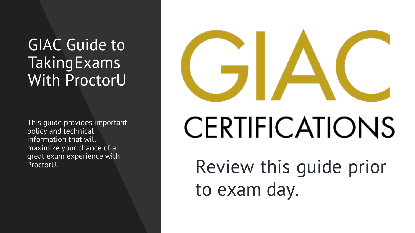## GIAC Guide to **Taking Exams** With ProctorU

This guide provides important policy and technical information that will maximize your chance of a great exam experience with

# CERTIFICATIONS ProctorU. The section of the Review this quide prior

to exam day.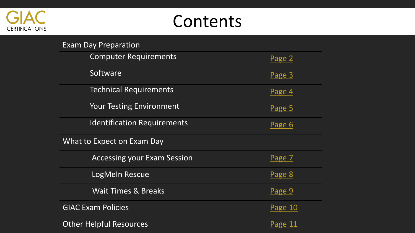

## Contents

| <b>Exam Day Preparation</b>        |         |
|------------------------------------|---------|
| <b>Computer Requirements</b>       | Page 2  |
| Software                           | Page 3  |
| <b>Technical Requirements</b>      | Page 4  |
| <b>Your Testing Environment</b>    | Page 5  |
| <b>Identification Requirements</b> | Page 6  |
| <b>What to Expect on Exam Day</b>  |         |
| <b>Accessing your Exam Session</b> | Page 7  |
| LogMeln Rescue                     | Page 8  |
| <b>Wait Times &amp; Breaks</b>     | Page 9  |
| <b>GIAC Exam Policies</b>          | Page 10 |
| <b>Other Helpful Resources</b>     | Page 11 |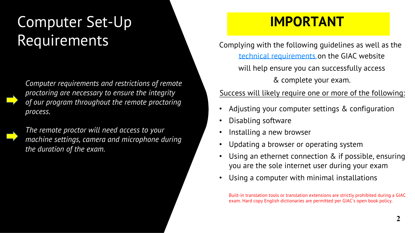## Computer Set-Up **Requirements**

*Computer requirements and restrictions of remote proctoring are necessary to ensure the integrity of our program throughout the remote proctoring process.*

*The remote proctor will need access to your machine settings, camera and microphone during the duration of the exam.*

## **IMPORTANT**

<span id="page-2-0"></span> Complying with the following guidelines as well as the technical requirements on [the GIAC website](https://www.giac.org/exams/proctor/technical-requirements)  will help ensure you can successfully access & complete your exam.

Success will likely require one or more of the following:

- Adjusting your computer settings & configuration
- Disabling software
- Installing a new browser
- Updating a browser or operating system
- Using an ethernet connection & if possible, ensuring you are the sole internet user during your exam
- Using a computer with minimal installations

Built-in translation tools or translation extensions are strictly prohibited during a GIAC exam. Hard copy English dictionaries are permitted per GIAC's open book policy.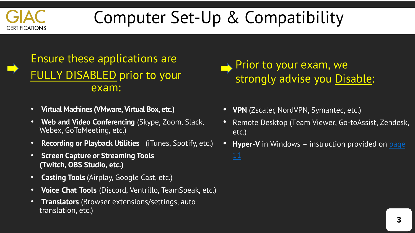

# Computer Set-Up & Compatibility

## Ensure these applications are FULLY DISABLED prior to your exam:

- **Virtual Machines (VMware, Virtual Box, etc.)**
- **Web and Video Conferencing** (Skype, Zoom, Slack, Webex, GoToMeeting, etc.)
- **Recording or Playback Utilities** (iTunes, Spotify, etc.)
- **Screen Capture or Streaming Tools (Twitch, OBS Studio, etc.)**
- **Casting Tools** (Airplay, Google Cast, etc.)
- **Voice Chat Tools** (Discord, Ventrillo, TeamSpeak, etc.)
- **Translators** (Browser extensions/settings, autotranslation, etc.)

<span id="page-3-0"></span>

- **VPN** (Zscaler, NordVPN, Symantec, etc.)
- Remote Desktop (Team Viewer, Go-toAssist, Zendesk, etc.)
- **Hyper-V** in Windows instruction provided on page 11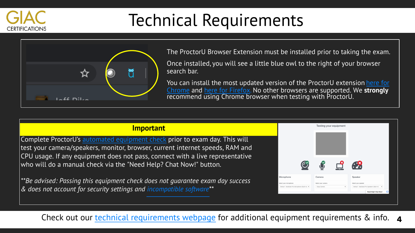

## Technical Requirements



<span id="page-4-0"></span>The ProctorU Browser Extension must be installed prior to taking the exam.

Once installed, you will see a little blue owl to the right of your browser search bar.

You can install the most updated version of the ProctorU extension here for Chrome and [here for](https://www.proctoru.com/firefox) [Firefox. No other browsers are supported.](https://chrome.google.com/webstore/detail/proctoru/goobgennebinldhonaajgafidboenlkl) We **strongly** recommend using Chrome browser when testing with ProctorU.

#### **Important**

Complete ProctorU's automated [equipment](https://go.proctoru.com/testitout) check prior to exam day. This will test your camera/speakers, monitor, browser, current internet speeds, RAM and CPU usage. If any equipment does not pass, connect with a live representative who will do a manual check via the "Need Help? Chat Now!" button.

*\*\*Be advised: Passing this equipment check does not guarantee exam day success & does not account for security settings and [incompatible](#page-3-0) software\*\**



Check out our *technical requirements webpage* for additional equipment requirements & info.  $\,$  **4**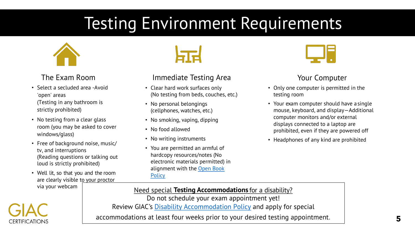## Testing Environment Requirements



## The Exam Room

- Select a secluded area -Avoid 'open' areas (Testing in any bathroom is strictly prohibited)
- No testing from a clear glass room (you may be asked to cover windows/glass)
- Free of background noise, music/ tv, and interruptions (Reading questions or talking out loud is strictly prohibited)
- Well lit, so that you and the room are clearly visible to your proctor via your webcam

<span id="page-5-0"></span>

## Immediate Testing Area

- Clear hard work surfaces only (No testing from beds, couches, etc.)
- No personal belongings (cellphones, watches, etc.)
- No smoking, vaping, dipping
- No food allowed
- No writing instruments
- You are permitted an armful of hardcopy resources/notes (No electronic materials permitted) in alignment with the [Open Book](https://www.giac.org/exams/proctor) **Policy**



## Your Computer

- Only one computer is permitted in the testing room
- Your exam computer should have asingle mouse, keyboard, and display—Additional computer monitors and/or external displays connected to a laptop are prohibited, even if they are powered off
- Headphones of any kind are prohibited



Need special **Testing Accommodations** for a disability?

Do not schedule your exam appointment yet! Review GIAC's Disability [Accommodation](https://www.giac.org/about/policies/disability) Policy and apply for special

accommodations at least four weeks prior to your desired testing appointment.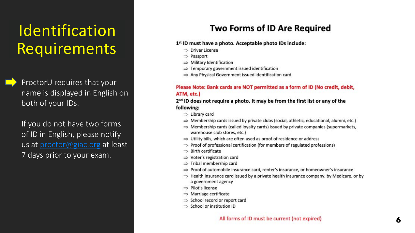## Identification **Requirements**

ProctorU requires that your name is displayed in English on both of your IDs.

If you do not have two forms of ID in English, please notify us at proctor@giac.org at least 7 days prior to your exam.

## <span id="page-6-0"></span>**Two Forms of ID Are Required**

#### 1st ID must have a photo. Acceptable photo IDs include:

- $\Rightarrow$  Driver License
- $\Rightarrow$  Passport
- $\Rightarrow$  Military Identification
- $\Rightarrow$  Temporary government issued identification
- $\Rightarrow$  Any Physical Government issued identification card

#### Please Note: Bank cards are NOT permitted as a form of ID (No credit, debit, ATM, etc.)

#### 2<sup>nd</sup> ID does not require a photo. It may be from the first list or any of the following:

- $\Rightarrow$  Library card
- $\Rightarrow$  Membership cards issued by private clubs (social, athletic, educational, alumni, etc.)
- $\Rightarrow$  Membership cards (called loyalty cards) issued by private companies (supermarkets, warehouse club stores, etc.)
- $\Rightarrow$  Utility bills, which are often used as proof of residence or address
- $\Rightarrow$  Proof of professional certification (for members of regulated professions)
- $\Rightarrow$  Birth certificate
- $\Rightarrow$  Voter's registration card
- $\Rightarrow$  Tribal membership card
- ⇒ Proof of automobile insurance card, renter's insurance, or homeowner's insurance
- $\Rightarrow$  Health insurance card issued by a private health insurance company, by Medicare, or by a government agency
- $\Rightarrow$  Pilot's license
- $\Rightarrow$  Marriage certificate
- $\Rightarrow$  School record or report card
- $\Rightarrow$  School or institution ID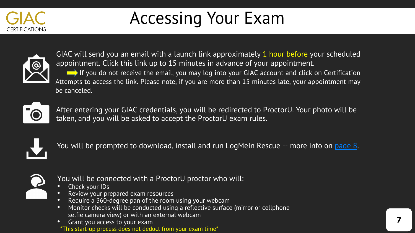

# <span id="page-7-0"></span>Accessing Your Exam



GIAC will send you an email with a launch link approximately 1 hour before your scheduled appointment. Click this link up to 15 minutes in advance of your appointment. If you do not receive the email, you may log into your GIAC account and click on Certification Attempts to access the link. Please note, if you are more than 15 minutes late, your appointment may be canceled.



After entering your GIAC credentials, you will be redirected to ProctorU. Your photo will be taken, and you will be asked to accept the ProctorU exam rules.



You will be prompted to download, install and run LogMeIn [Res](#page-8-0)cue -- more info on page 8.



You will be connected with a ProctorU proctor who will:

- Check your IDs
- Review your prepared exam resources
- Require a 360-degree pan of the room using your webcam
- Monitor checks will be conducted using a reflective surface (mirror or cellphone selfie camera view) or with an external webcam
- Grant you access to your exam \*This start-up process does not deduct from your exam time\*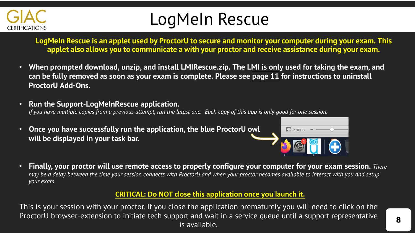

## <span id="page-8-0"></span>LogMeIn Rescue

**LogMeIn Rescue is an applet used by ProctorU to secure and monitor your computer during your exam. This applet also allows you to communicate a with your proctor and receive assistance during your exam.**

- **When prompted download, unzip, and install LMIRescue.zip. The LMI is only used for taking the exam, and can be fully removed as soon as your exam is complete. Please see [page 11](#page-11-1) for instructions to uninstall ProctorU Add-Ons.**
- **Run the Support-LogMeInRescue application.** If you have multiple copies from a previous attempt, run the latest one. Each copy of this app is only good for one session.
- **Once you have successfully run the application, the blue ProctorU owl will be displayed in your task bar.**



• Finally, your proctor will use remote access to properly configure your computer for your exam session. There may be a delay between the time your session connects with ProctorU and when your proctor becomes available to interact with you and setup *your exam.*

#### **CRITICAL: Do NOT close this application once you launch it.**

This is your session with your proctor. If you close the application prematurely you will need to click on the ProctorU browser-extension to initiate tech support and wait in a service queue until a support representative is available.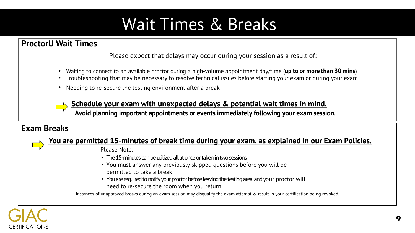## <span id="page-9-0"></span>Wait Times & Breaks

## **ProctorU Wait Times**

Please expect that delays may occur during your session as a result of:

- Waiting to connect to an available proctor during a high-volume appointment day/time (**up to or more than 30 mins**)
- Troubleshooting that may be necessary to resolve technical issues before starting your exam or during your exam
- Needing to re-secure the testing environment after a break

**Schedule your exam with unexpected delays & potential wait times in mind.**

**Avoid planning important appointments or events immediately following your exam session.**

#### **Exam Breaks**

#### **You are permitted 15-minutes of break time during your exam, as explained in our Exam [Policies](#page-10-0).**

Please Note:

- The 15-minutes can be utilized all at once or taken in two sessions
- You must answer any previously skipped questions before you will be permitted to take a break
- You are required to notify your proctor before leaving the testing area, and your proctor will need to re-secure the room when you return

Instances of unapproved breaks during an exam session may disqualify the exam attempt & result in your certification being revoked.

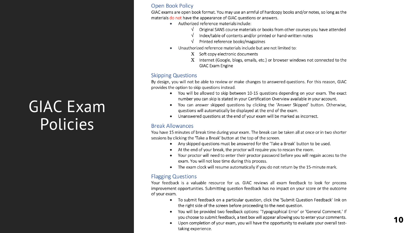## **GIAC Exam** Policies

#### **Open Book Policy**

GIAC exams are open book format. You may use an armful of hardcopy books and/or notes, so long as the materials do not have the appearance of GIAC questions or answers.

- <span id="page-10-0"></span>• Authorized reference materials include:
	- Original SANS course materials or books from other courses you have attended
	- Index/table of contents and/or printed or hand-written notes
	- Printed reference books/magazines
- Unauthorized reference materials include but are not limited to:
	- X Soft copy electronic documents
	- X Internet (Google, blogs, emails, etc.) or browser windows not connected to the **GIAC Exam Engine**

#### **Skipping Questions**

By design, you will not be able to review or make changes to answered questions. For this reason, GIAC provides the option to skip questions instead.

- You will be allowed to skip between 10-15 questions depending on your exam. The exact number you can skip is stated in your Certification Overview available in your account.
- You can answer skipped questions by clicking the 'Answer Skipped' button. Otherwise,  $\bullet$ questions will automatically be displayed at the end of the exam.
- Unanswered questions at the end of your exam will be marked as incorrect.

#### **Break Allowances**

You have 15 minutes of break time during your exam. The break can be taken all at once or in two shorter sessions by clicking the 'Take a Break' button at the top of the screen.

- Any skipped questions must be answered for the 'Take a Break' button to be used.
- At the end of your break, the proctor will require you to rescan the room.
- Your proctor will need to enter their proctor password before you will regain access to the  $\bullet$ exam. You will not lose time during this process.
- The exam clock will resume automatically if you do not return by the 15-minute mark.

#### **Flagging Questions**

Your feedback is a valuable resource for us. GIAC reviews all exam feedback to look for process improvement opportunities. Submitting question feedback has no impact on your score or the outcome of your exam.

- To submit feedback on a particular question, click the 'Submit Question Feedback' link on the right side of the screen before proceeding to the next question.
- You will be provided two feedback options: 'Typographical Error' or 'General Comment.' If  $\bullet$ you choose to submit feedback, a text box will appear allowing you to enter your comments.
- Upon completion of your exam, you will have the opportunity to evaluate your overall test- $\bullet$ taking experience.